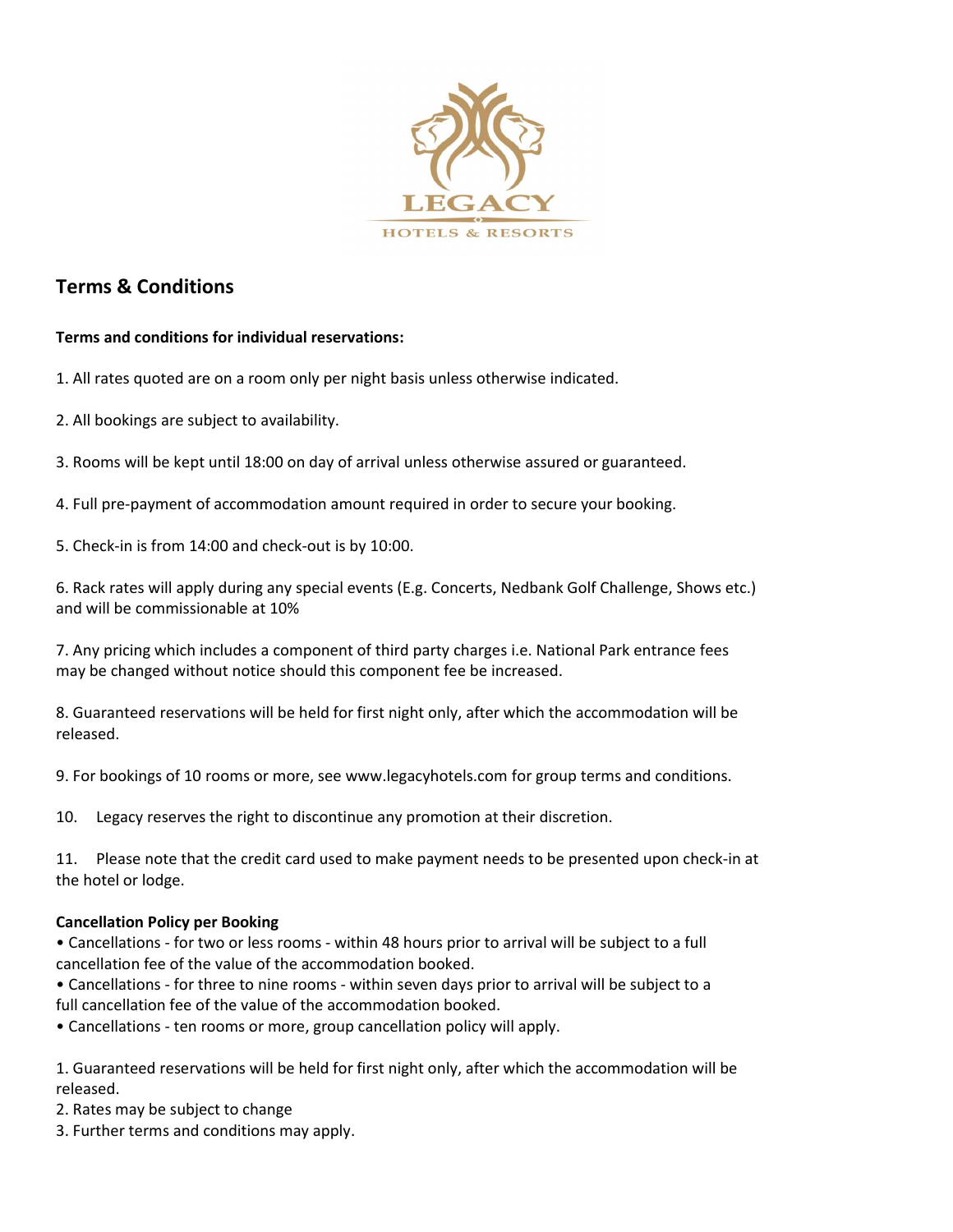

# Terms & Conditions

## Terms and conditions for individual reservations:

1. All rates quoted are on a room only per night basis unless otherwise indicated.

2. All bookings are subject to availability.

3. Rooms will be kept until 18:00 on day of arrival unless otherwise assured or guaranteed.

4. Full pre-payment of accommodation amount required in order to secure your booking.

5. Check-in is from 14:00 and check-out is by 10:00.

6. Rack rates will apply during any special events (E.g. Concerts, Nedbank Golf Challenge, Shows etc.) and will be commissionable at 10%

7. Any pricing which includes a component of third party charges i.e. National Park entrance fees may be changed without notice should this component fee be increased.

8. Guaranteed reservations will be held for first night only, after which the accommodation will be released.

9. For bookings of 10 rooms or more, see www.legacyhotels.com for group terms and conditions.

10. Legacy reserves the right to discontinue any promotion at their discretion.

11. Please note that the credit card used to make payment needs to be presented upon check-in at the hotel or lodge.

## Cancellation Policy per Booking

• Cancellations - for two or less rooms - within 48 hours prior to arrival will be subject to a full cancellation fee of the value of the accommodation booked.

• Cancellations - for three to nine rooms - within seven days prior to arrival will be subject to a full cancellation fee of the value of the accommodation booked.

• Cancellations - ten rooms or more, group cancellation policy will apply.

1. Guaranteed reservations will be held for first night only, after which the accommodation will be released.

2. Rates may be subject to change

3. Further terms and conditions may apply.